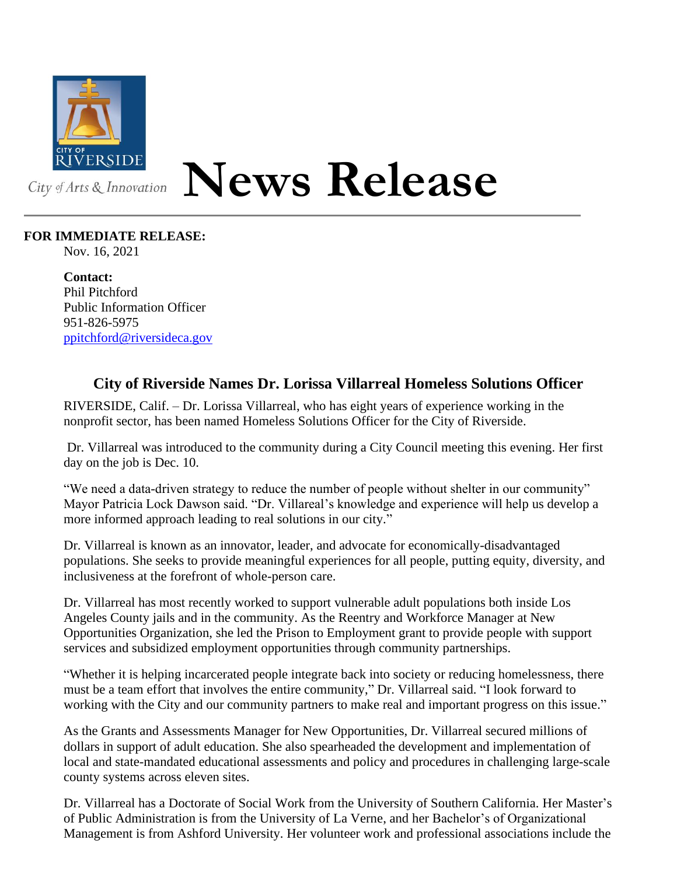

## **News Release**

## **FOR IMMEDIATE RELEASE:**

Nov. 16, 2021

**Contact:** Phil Pitchford Public Information Officer 951-826-5975 [ppitchford@riversideca.gov](mailto:ppitchford@riversideca.gov)

## **City of Riverside Names Dr. Lorissa Villarreal Homeless Solutions Officer**

RIVERSIDE, Calif. – Dr. Lorissa Villarreal, who has eight years of experience working in the nonprofit sector, has been named Homeless Solutions Officer for the City of Riverside.

Dr. Villarreal was introduced to the community during a City Council meeting this evening. Her first day on the job is Dec. 10.

"We need a data-driven strategy to reduce the number of people without shelter in our community" Mayor Patricia Lock Dawson said. "Dr. Villareal's knowledge and experience will help us develop a more informed approach leading to real solutions in our city."

Dr. Villarreal is known as an innovator, leader, and advocate for economically-disadvantaged populations. She seeks to provide meaningful experiences for all people, putting equity, diversity, and inclusiveness at the forefront of whole-person care.

Dr. Villarreal has most recently worked to support vulnerable adult populations both inside Los Angeles County jails and in the community. As the Reentry and Workforce Manager at New Opportunities Organization, she led the Prison to Employment grant to provide people with support services and subsidized employment opportunities through community partnerships.

"Whether it is helping incarcerated people integrate back into society or reducing homelessness, there must be a team effort that involves the entire community," Dr. Villarreal said. "I look forward to working with the City and our community partners to make real and important progress on this issue."

As the Grants and Assessments Manager for New Opportunities, Dr. Villarreal secured millions of dollars in support of adult education. She also spearheaded the development and implementation of local and state-mandated educational assessments and policy and procedures in challenging large-scale county systems across eleven sites.

Dr. Villarreal has a Doctorate of Social Work from the University of Southern California. Her Master's of Public Administration is from the University of La Verne, and her Bachelor's of Organizational Management is from Ashford University. Her volunteer work and professional associations include the